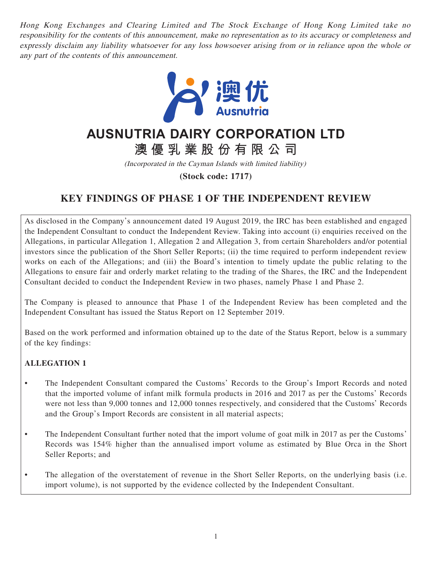Hong Kong Exchanges and Clearing Limited and The Stock Exchange of Hong Kong Limited take no responsibility for the contents of this announcement, make no representation as to its accuracy or completeness and expressly disclaim any liability whatsoever for any loss howsoever arising from or in reliance upon the whole or any part of the contents of this announcement.



# **AUSNUTRIA DAIRY CORPORATION LTD**

**澳優乳業股份有限公司**

(Incorporated in the Cayman Islands with limited liability)

**(Stock code: 1717)**

# **KEY FINDINGS OF PHASE 1 OF THE INDEPENDENT REVIEW**

As disclosed in the Company's announcement dated 19 August 2019, the IRC has been established and engaged the Independent Consultant to conduct the Independent Review. Taking into account (i) enquiries received on the Allegations, in particular Allegation 1, Allegation 2 and Allegation 3, from certain Shareholders and/or potential investors since the publication of the Short Seller Reports; (ii) the time required to perform independent review works on each of the Allegations; and (iii) the Board's intention to timely update the public relating to the Allegations to ensure fair and orderly market relating to the trading of the Shares, the IRC and the Independent Consultant decided to conduct the Independent Review in two phases, namely Phase 1 and Phase 2.

The Company is pleased to announce that Phase 1 of the Independent Review has been completed and the Independent Consultant has issued the Status Report on 12 September 2019.

Based on the work performed and information obtained up to the date of the Status Report, below is a summary of the key findings:

### **ALLEGATION 1**

- The Independent Consultant compared the Customs' Records to the Group's Import Records and noted that the imported volume of infant milk formula products in 2016 and 2017 as per the Customs' Records were not less than 9,000 tonnes and 12,000 tonnes respectively, and considered that the Customs' Records and the Group's Import Records are consistent in all material aspects;
- The Independent Consultant further noted that the import volume of goat milk in 2017 as per the Customs' Records was 154% higher than the annualised import volume as estimated by Blue Orca in the Short Seller Reports; and
- The allegation of the overstatement of revenue in the Short Seller Reports, on the underlying basis (i.e. import volume), is not supported by the evidence collected by the Independent Consultant.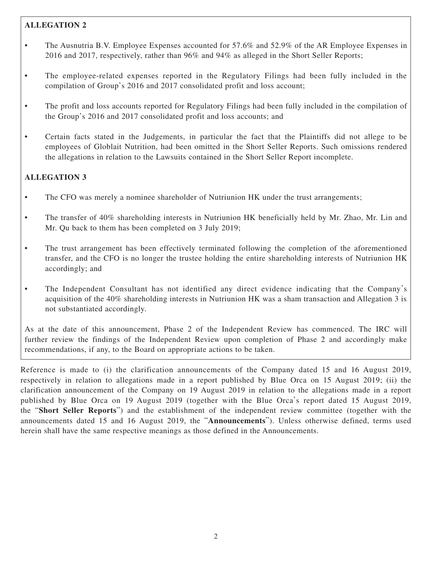# **ALLEGATION 2**

- The Ausnutria B.V. Employee Expenses accounted for 57.6% and 52.9% of the AR Employee Expenses in 2016 and 2017, respectively, rather than 96% and 94% as alleged in the Short Seller Reports;
- The employee-related expenses reported in the Regulatory Filings had been fully included in the compilation of Group's 2016 and 2017 consolidated profit and loss account;
- The profit and loss accounts reported for Regulatory Filings had been fully included in the compilation of the Group's 2016 and 2017 consolidated profit and loss accounts; and
- Certain facts stated in the Judgements, in particular the fact that the Plaintiffs did not allege to be employees of Globlait Nutrition, had been omitted in the Short Seller Reports. Such omissions rendered the allegations in relation to the Lawsuits contained in the Short Seller Report incomplete.

# **ALLEGATION 3**

- The CFO was merely a nominee shareholder of Nutriunion HK under the trust arrangements;
- The transfer of 40% shareholding interests in Nutriunion HK beneficially held by Mr. Zhao, Mr. Lin and Mr. Qu back to them has been completed on 3 July 2019;
- The trust arrangement has been effectively terminated following the completion of the aforementioned transfer, and the CFO is no longer the trustee holding the entire shareholding interests of Nutriunion HK accordingly; and
- The Independent Consultant has not identified any direct evidence indicating that the Company's acquisition of the 40% shareholding interests in Nutriunion HK was a sham transaction and Allegation 3 is not substantiated accordingly.

As at the date of this announcement, Phase 2 of the Independent Review has commenced. The IRC will further review the findings of the Independent Review upon completion of Phase 2 and accordingly make recommendations, if any, to the Board on appropriate actions to be taken.

Reference is made to (i) the clarification announcements of the Company dated 15 and 16 August 2019, respectively in relation to allegations made in a report published by Blue Orca on 15 August 2019; (ii) the clarification announcement of the Company on 19 August 2019 in relation to the allegations made in a report published by Blue Orca on 19 August 2019 (together with the Blue Orca's report dated 15 August 2019, the "**Short Seller Reports**") and the establishment of the independent review committee (together with the announcements dated 15 and 16 August 2019, the "**Announcements**"). Unless otherwise defined, terms used herein shall have the same respective meanings as those defined in the Announcements.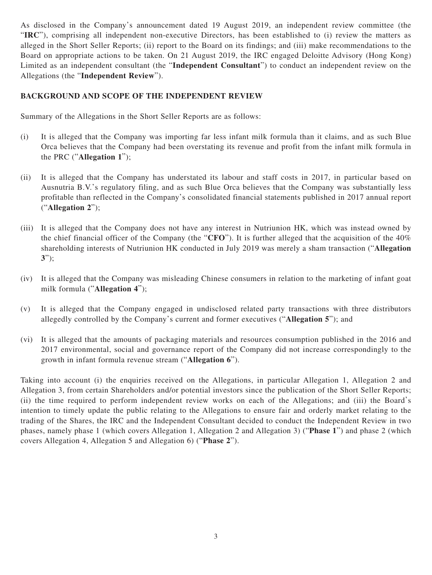As disclosed in the Company's announcement dated 19 August 2019, an independent review committee (the "**IRC**"), comprising all independent non-executive Directors, has been established to (i) review the matters as alleged in the Short Seller Reports; (ii) report to the Board on its findings; and (iii) make recommendations to the Board on appropriate actions to be taken. On 21 August 2019, the IRC engaged Deloitte Advisory (Hong Kong) Limited as an independent consultant (the "**Independent Consultant**") to conduct an independent review on the Allegations (the "**Independent Review**").

#### **BACKGROUND AND SCOPE OF THE INDEPENDENT REVIEW**

Summary of the Allegations in the Short Seller Reports are as follows:

- (i) It is alleged that the Company was importing far less infant milk formula than it claims, and as such Blue Orca believes that the Company had been overstating its revenue and profit from the infant milk formula in the PRC ("**Allegation 1**");
- (ii) It is alleged that the Company has understated its labour and staff costs in 2017, in particular based on Ausnutria B.V.'s regulatory filing, and as such Blue Orca believes that the Company was substantially less profitable than reflected in the Company's consolidated financial statements published in 2017 annual report ("**Allegation 2**");
- (iii) It is alleged that the Company does not have any interest in Nutriunion HK, which was instead owned by the chief financial officer of the Company (the "**CFO**"). It is further alleged that the acquisition of the 40% shareholding interests of Nutriunion HK conducted in July 2019 was merely a sham transaction ("**Allegation 3**");
- (iv) It is alleged that the Company was misleading Chinese consumers in relation to the marketing of infant goat milk formula ("**Allegation 4**");
- (v) It is alleged that the Company engaged in undisclosed related party transactions with three distributors allegedly controlled by the Company's current and former executives ("**Allegation 5**"); and
- (vi) It is alleged that the amounts of packaging materials and resources consumption published in the 2016 and 2017 environmental, social and governance report of the Company did not increase correspondingly to the growth in infant formula revenue stream ("**Allegation 6**").

Taking into account (i) the enquiries received on the Allegations, in particular Allegation 1, Allegation 2 and Allegation 3, from certain Shareholders and/or potential investors since the publication of the Short Seller Reports; (ii) the time required to perform independent review works on each of the Allegations; and (iii) the Board's intention to timely update the public relating to the Allegations to ensure fair and orderly market relating to the trading of the Shares, the IRC and the Independent Consultant decided to conduct the Independent Review in two phases, namely phase 1 (which covers Allegation 1, Allegation 2 and Allegation 3) ("**Phase 1**") and phase 2 (which covers Allegation 4, Allegation 5 and Allegation 6) ("**Phase 2**").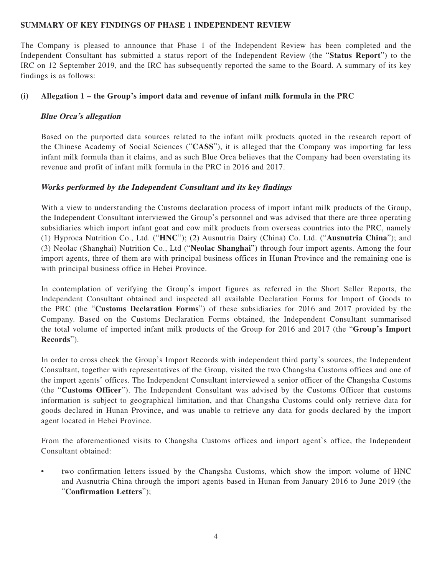#### **SUMMARY OF KEY FINDINGS OF PHASE 1 INDEPENDENT REVIEW**

The Company is pleased to announce that Phase 1 of the Independent Review has been completed and the Independent Consultant has submitted a status report of the Independent Review (the "**Status Report**") to the IRC on 12 September 2019, and the IRC has subsequently reported the same to the Board. A summary of its key findings is as follows:

#### **(i) Allegation 1 – the Group's import data and revenue of infant milk formula in the PRC**

#### **Blue Orca's allegation**

Based on the purported data sources related to the infant milk products quoted in the research report of the Chinese Academy of Social Sciences ("**CASS**"), it is alleged that the Company was importing far less infant milk formula than it claims, and as such Blue Orca believes that the Company had been overstating its revenue and profit of infant milk formula in the PRC in 2016 and 2017.

#### **Works performed by the Independent Consultant and its key findings**

With a view to understanding the Customs declaration process of import infant milk products of the Group, the Independent Consultant interviewed the Group's personnel and was advised that there are three operating subsidiaries which import infant goat and cow milk products from overseas countries into the PRC, namely (1) Hyproca Nutrition Co., Ltd. ("**HNC**"); (2) Ausnutria Dairy (China) Co. Ltd. ("**Ausnutria China**"); and (3) Neolac (Shanghai) Nutrition Co., Ltd ("**Neolac Shanghai**") through four import agents. Among the four import agents, three of them are with principal business offices in Hunan Province and the remaining one is with principal business office in Hebei Province.

In contemplation of verifying the Group's import figures as referred in the Short Seller Reports, the Independent Consultant obtained and inspected all available Declaration Forms for Import of Goods to the PRC (the "**Customs Declaration Forms**") of these subsidiaries for 2016 and 2017 provided by the Company. Based on the Customs Declaration Forms obtained, the Independent Consultant summarised the total volume of imported infant milk products of the Group for 2016 and 2017 (the "**Group's Import Records**").

In order to cross check the Group's Import Records with independent third party's sources, the Independent Consultant, together with representatives of the Group, visited the two Changsha Customs offices and one of the import agents' offices. The Independent Consultant interviewed a senior officer of the Changsha Customs (the "**Customs Officer**"). The Independent Consultant was advised by the Customs Officer that customs information is subject to geographical limitation, and that Changsha Customs could only retrieve data for goods declared in Hunan Province, and was unable to retrieve any data for goods declared by the import agent located in Hebei Province.

From the aforementioned visits to Changsha Customs offices and import agent's office, the Independent Consultant obtained:

• two confirmation letters issued by the Changsha Customs, which show the import volume of HNC and Ausnutria China through the import agents based in Hunan from January 2016 to June 2019 (the "**Confirmation Letters**");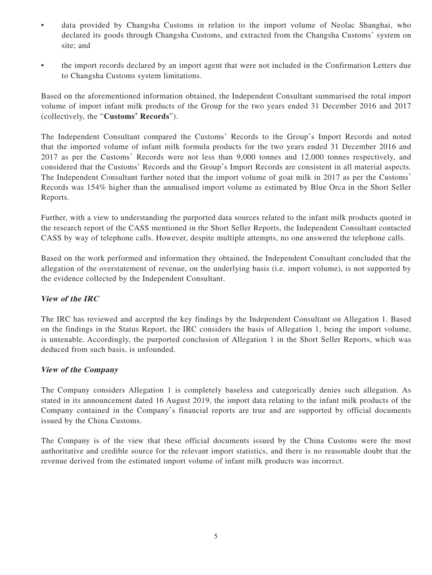- data provided by Changsha Customs in relation to the import volume of Neolac Shanghai, who declared its goods through Changsha Customs, and extracted from the Changsha Customs' system on site; and
- the import records declared by an import agent that were not included in the Confirmation Letters due to Changsha Customs system limitations.

Based on the aforementioned information obtained, the Independent Consultant summarised the total import volume of import infant milk products of the Group for the two years ended 31 December 2016 and 2017 (collectively, the "**Customs' Records**").

The Independent Consultant compared the Customs' Records to the Group's Import Records and noted that the imported volume of infant milk formula products for the two years ended 31 December 2016 and 2017 as per the Customs' Records were not less than 9,000 tonnes and 12,000 tonnes respectively, and considered that the Customs' Records and the Group's Import Records are consistent in all material aspects. The Independent Consultant further noted that the import volume of goat milk in 2017 as per the Customs' Records was 154% higher than the annualised import volume as estimated by Blue Orca in the Short Seller Reports.

Further, with a view to understanding the purported data sources related to the infant milk products quoted in the research report of the CASS mentioned in the Short Seller Reports, the Independent Consultant contacted CASS by way of telephone calls. However, despite multiple attempts, no one answered the telephone calls.

Based on the work performed and information they obtained, the Independent Consultant concluded that the allegation of the overstatement of revenue, on the underlying basis (i.e. import volume), is not supported by the evidence collected by the Independent Consultant.

#### **View of the IRC**

The IRC has reviewed and accepted the key findings by the Independent Consultant on Allegation 1. Based on the findings in the Status Report, the IRC considers the basis of Allegation 1, being the import volume, is untenable. Accordingly, the purported conclusion of Allegation 1 in the Short Seller Reports, which was deduced from such basis, is unfounded.

#### **View of the Company**

The Company considers Allegation 1 is completely baseless and categorically denies such allegation. As stated in its announcement dated 16 August 2019, the import data relating to the infant milk products of the Company contained in the Company's financial reports are true and are supported by official documents issued by the China Customs.

The Company is of the view that these official documents issued by the China Customs were the most authoritative and credible source for the relevant import statistics, and there is no reasonable doubt that the revenue derived from the estimated import volume of infant milk products was incorrect.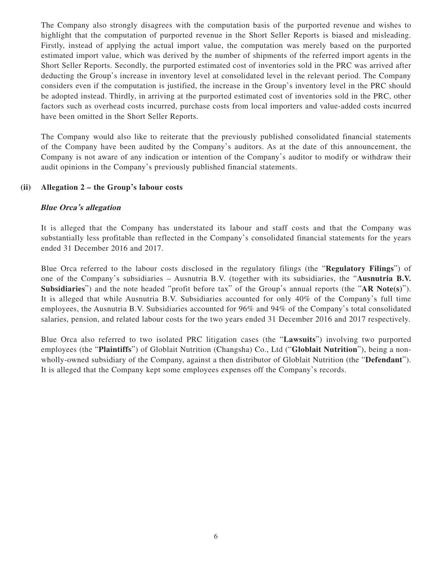The Company also strongly disagrees with the computation basis of the purported revenue and wishes to highlight that the computation of purported revenue in the Short Seller Reports is biased and misleading. Firstly, instead of applying the actual import value, the computation was merely based on the purported estimated import value, which was derived by the number of shipments of the referred import agents in the Short Seller Reports. Secondly, the purported estimated cost of inventories sold in the PRC was arrived after deducting the Group's increase in inventory level at consolidated level in the relevant period. The Company considers even if the computation is justified, the increase in the Group's inventory level in the PRC should be adopted instead. Thirdly, in arriving at the purported estimated cost of inventories sold in the PRC, other factors such as overhead costs incurred, purchase costs from local importers and value-added costs incurred have been omitted in the Short Seller Reports.

The Company would also like to reiterate that the previously published consolidated financial statements of the Company have been audited by the Company's auditors. As at the date of this announcement, the Company is not aware of any indication or intention of the Company's auditor to modify or withdraw their audit opinions in the Company's previously published financial statements.

#### **(ii) Allegation 2 – the Group's labour costs**

#### **Blue Orca's allegation**

It is alleged that the Company has understated its labour and staff costs and that the Company was substantially less profitable than reflected in the Company's consolidated financial statements for the years ended 31 December 2016 and 2017.

Blue Orca referred to the labour costs disclosed in the regulatory filings (the "**Regulatory Filings**") of one of the Company's subsidiaries – Ausnutria B.V. (together with its subsidiaries, the "**Ausnutria B.V. Subsidiaries**") and the note headed "profit before tax" of the Group's annual reports (the "**AR Note(s)**"). It is alleged that while Ausnutria B.V. Subsidiaries accounted for only 40% of the Company's full time employees, the Ausnutria B.V. Subsidiaries accounted for 96% and 94% of the Company's total consolidated salaries, pension, and related labour costs for the two years ended 31 December 2016 and 2017 respectively.

Blue Orca also referred to two isolated PRC litigation cases (the "**Lawsuits**") involving two purported employees (the "**Plaintiffs**") of Globlait Nutrition (Changsha) Co., Ltd ("**Globlait Nutrition**"), being a nonwholly-owned subsidiary of the Company, against a then distributor of Globlait Nutrition (the "**Defendant**"). It is alleged that the Company kept some employees expenses off the Company's records.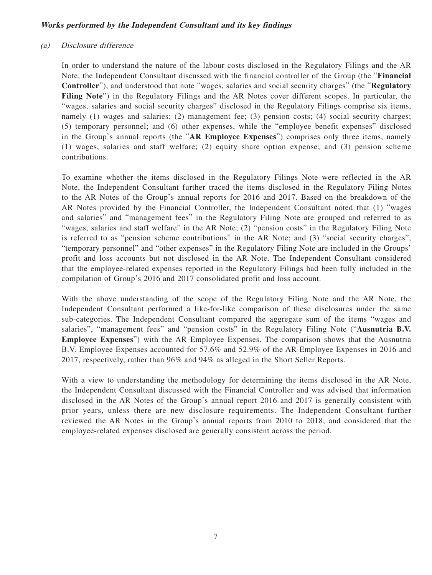#### **Works performed by the Independent Consultant and its key findings**

#### (a) Disclosure difference

In order to understand the nature of the labour costs disclosed in the Regulatory Filings and the AR Note, the Independent Consultant discussed with the financial controller of the Group (the "**Financial Controller**"), and understood that note "wages, salaries and social security charges" (the "**Regulatory Filing Note**") in the Regulatory Filings and the AR Notes cover different scopes. In particular, the "wages, salaries and social security charges" disclosed in the Regulatory Filings comprise six items, namely (1) wages and salaries; (2) management fee; (3) pension costs; (4) social security charges; (5) temporary personnel; and (6) other expenses, while the "employee benefit expenses" disclosed in the Group's annual reports (the "**AR Employee Expenses**") comprises only three items, namely (1) wages, salaries and staff welfare; (2) equity share option expense; and (3) pension scheme contributions.

To examine whether the items disclosed in the Regulatory Filings Note were reflected in the AR Note, the Independent Consultant further traced the items disclosed in the Regulatory Filing Notes to the AR Notes of the Group's annual reports for 2016 and 2017. Based on the breakdown of the AR Notes provided by the Financial Controller, the Independent Consultant noted that (1) "wages and salaries" and "management fees" in the Regulatory Filing Note are grouped and referred to as "wages, salaries and staff welfare" in the AR Note; (2) "pension costs" in the Regulatory Filing Note is referred to as "pension scheme contributions" in the AR Note; and (3) "social security charges", "temporary personnel" and "other expenses" in the Regulatory Filing Note are included in the Groups' profit and loss accounts but not disclosed in the AR Note. The Independent Consultant considered that the employee-related expenses reported in the Regulatory Filings had been fully included in the compilation of Group's 2016 and 2017 consolidated profit and loss account.

With the above understanding of the scope of the Regulatory Filing Note and the AR Note, the Independent Consultant performed a like-for-like comparison of these disclosures under the same sub-categories. The Independent Consultant compared the aggregate sum of the items "wages and salaries", "management fees" and "pension costs" in the Regulatory Filing Note ("**Ausnutria B.V. Employee Expenses**") with the AR Employee Expenses. The comparison shows that the Ausnutria B.V. Employee Expenses accounted for 57.6% and 52.9% of the AR Employee Expenses in 2016 and 2017, respectively, rather than 96% and 94% as alleged in the Short Seller Reports.

With a view to understanding the methodology for determining the items disclosed in the AR Note, the Independent Consultant discussed with the Financial Controller and was advised that information disclosed in the AR Notes of the Group's annual report 2016 and 2017 is generally consistent with prior years, unless there are new disclosure requirements. The Independent Consultant further reviewed the AR Notes in the Group's annual reports from 2010 to 2018, and considered that the employee-related expenses disclosed are generally consistent across the period.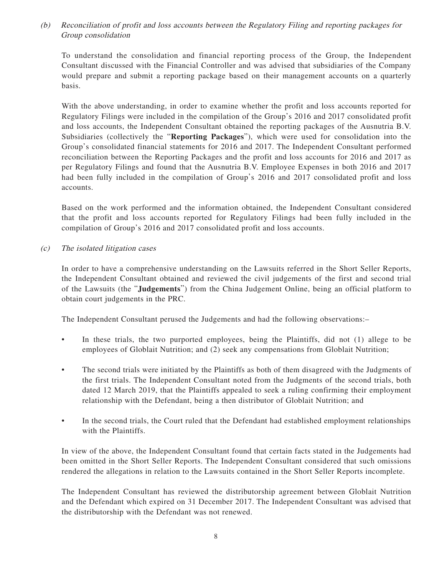(b) Reconciliation of profit and loss accounts between the Regulatory Filing and reporting packages for Group consolidation

To understand the consolidation and financial reporting process of the Group, the Independent Consultant discussed with the Financial Controller and was advised that subsidiaries of the Company would prepare and submit a reporting package based on their management accounts on a quarterly basis.

With the above understanding, in order to examine whether the profit and loss accounts reported for Regulatory Filings were included in the compilation of the Group's 2016 and 2017 consolidated profit and loss accounts, the Independent Consultant obtained the reporting packages of the Ausnutria B.V. Subsidiaries (collectively the "**Reporting Packages**"), which were used for consolidation into the Group's consolidated financial statements for 2016 and 2017. The Independent Consultant performed reconciliation between the Reporting Packages and the profit and loss accounts for 2016 and 2017 as per Regulatory Filings and found that the Ausnutria B.V. Employee Expenses in both 2016 and 2017 had been fully included in the compilation of Group's 2016 and 2017 consolidated profit and loss accounts.

Based on the work performed and the information obtained, the Independent Consultant considered that the profit and loss accounts reported for Regulatory Filings had been fully included in the compilation of Group's 2016 and 2017 consolidated profit and loss accounts.

(c) The isolated litigation cases

In order to have a comprehensive understanding on the Lawsuits referred in the Short Seller Reports, the Independent Consultant obtained and reviewed the civil judgements of the first and second trial of the Lawsuits (the "**Judgements**") from the China Judgement Online, being an official platform to obtain court judgements in the PRC.

The Independent Consultant perused the Judgements and had the following observations:–

- In these trials, the two purported employees, being the Plaintiffs, did not (1) allege to be employees of Globlait Nutrition; and (2) seek any compensations from Globlait Nutrition;
- The second trials were initiated by the Plaintiffs as both of them disagreed with the Judgments of the first trials. The Independent Consultant noted from the Judgments of the second trials, both dated 12 March 2019, that the Plaintiffs appealed to seek a ruling confirming their employment relationship with the Defendant, being a then distributor of Globlait Nutrition; and
- In the second trials, the Court ruled that the Defendant had established employment relationships with the Plaintiffs.

In view of the above, the Independent Consultant found that certain facts stated in the Judgements had been omitted in the Short Seller Reports. The Independent Consultant considered that such omissions rendered the allegations in relation to the Lawsuits contained in the Short Seller Reports incomplete.

The Independent Consultant has reviewed the distributorship agreement between Globlait Nutrition and the Defendant which expired on 31 December 2017. The Independent Consultant was advised that the distributorship with the Defendant was not renewed.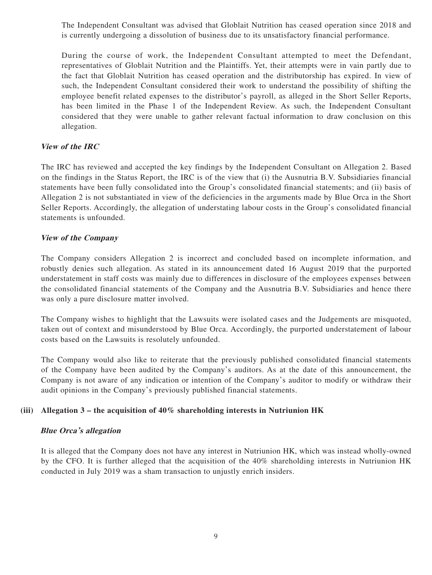The Independent Consultant was advised that Globlait Nutrition has ceased operation since 2018 and is currently undergoing a dissolution of business due to its unsatisfactory financial performance.

During the course of work, the Independent Consultant attempted to meet the Defendant, representatives of Globlait Nutrition and the Plaintiffs. Yet, their attempts were in vain partly due to the fact that Globlait Nutrition has ceased operation and the distributorship has expired. In view of such, the Independent Consultant considered their work to understand the possibility of shifting the employee benefit related expenses to the distributor's payroll, as alleged in the Short Seller Reports, has been limited in the Phase 1 of the Independent Review. As such, the Independent Consultant considered that they were unable to gather relevant factual information to draw conclusion on this allegation.

#### **View of the IRC**

The IRC has reviewed and accepted the key findings by the Independent Consultant on Allegation 2. Based on the findings in the Status Report, the IRC is of the view that (i) the Ausnutria B.V. Subsidiaries financial statements have been fully consolidated into the Group's consolidated financial statements; and (ii) basis of Allegation 2 is not substantiated in view of the deficiencies in the arguments made by Blue Orca in the Short Seller Reports. Accordingly, the allegation of understating labour costs in the Group's consolidated financial statements is unfounded.

#### **View of the Company**

The Company considers Allegation 2 is incorrect and concluded based on incomplete information, and robustly denies such allegation. As stated in its announcement dated 16 August 2019 that the purported understatement in staff costs was mainly due to differences in disclosure of the employees expenses between the consolidated financial statements of the Company and the Ausnutria B.V. Subsidiaries and hence there was only a pure disclosure matter involved.

The Company wishes to highlight that the Lawsuits were isolated cases and the Judgements are misquoted, taken out of context and misunderstood by Blue Orca. Accordingly, the purported understatement of labour costs based on the Lawsuits is resolutely unfounded.

The Company would also like to reiterate that the previously published consolidated financial statements of the Company have been audited by the Company's auditors. As at the date of this announcement, the Company is not aware of any indication or intention of the Company's auditor to modify or withdraw their audit opinions in the Company's previously published financial statements.

#### **(iii) Allegation 3 – the acquisition of 40% shareholding interests in Nutriunion HK**

#### **Blue Orca's allegation**

It is alleged that the Company does not have any interest in Nutriunion HK, which was instead wholly-owned by the CFO. It is further alleged that the acquisition of the 40% shareholding interests in Nutriunion HK conducted in July 2019 was a sham transaction to unjustly enrich insiders.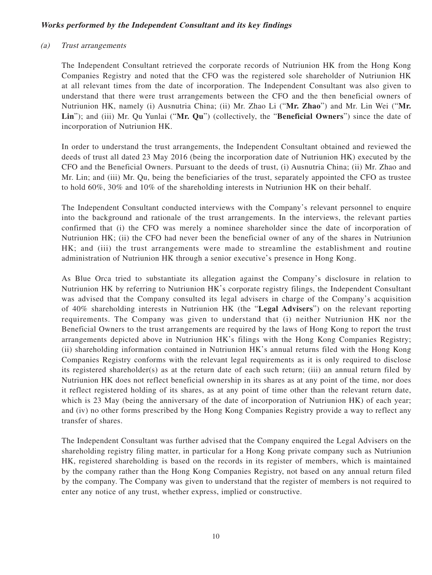#### **Works performed by the Independent Consultant and its key findings**

#### (a) Trust arrangements

The Independent Consultant retrieved the corporate records of Nutriunion HK from the Hong Kong Companies Registry and noted that the CFO was the registered sole shareholder of Nutriunion HK at all relevant times from the date of incorporation. The Independent Consultant was also given to understand that there were trust arrangements between the CFO and the then beneficial owners of Nutriunion HK, namely (i) Ausnutria China; (ii) Mr. Zhao Li ("**Mr. Zhao**") and Mr. Lin Wei ("**Mr. Lin**"); and (iii) Mr. Qu Yunlai ("**Mr. Qu**") (collectively, the "**Beneficial Owners**") since the date of incorporation of Nutriunion HK.

In order to understand the trust arrangements, the Independent Consultant obtained and reviewed the deeds of trust all dated 23 May 2016 (being the incorporation date of Nutriunion HK) executed by the CFO and the Beneficial Owners. Pursuant to the deeds of trust, (i) Ausnutria China; (ii) Mr. Zhao and Mr. Lin; and (iii) Mr. Qu, being the beneficiaries of the trust, separately appointed the CFO as trustee to hold 60%, 30% and 10% of the shareholding interests in Nutriunion HK on their behalf.

The Independent Consultant conducted interviews with the Company's relevant personnel to enquire into the background and rationale of the trust arrangements. In the interviews, the relevant parties confirmed that (i) the CFO was merely a nominee shareholder since the date of incorporation of Nutriunion HK; (ii) the CFO had never been the beneficial owner of any of the shares in Nutriunion HK; and (iii) the trust arrangements were made to streamline the establishment and routine administration of Nutriunion HK through a senior executive's presence in Hong Kong.

As Blue Orca tried to substantiate its allegation against the Company's disclosure in relation to Nutriunion HK by referring to Nutriunion HK's corporate registry filings, the Independent Consultant was advised that the Company consulted its legal advisers in charge of the Company's acquisition of 40% shareholding interests in Nutriunion HK (the "**Legal Advisers**") on the relevant reporting requirements. The Company was given to understand that (i) neither Nutriunion HK nor the Beneficial Owners to the trust arrangements are required by the laws of Hong Kong to report the trust arrangements depicted above in Nutriunion HK's filings with the Hong Kong Companies Registry; (ii) shareholding information contained in Nutriunion HK's annual returns filed with the Hong Kong Companies Registry conforms with the relevant legal requirements as it is only required to disclose its registered shareholder(s) as at the return date of each such return; (iii) an annual return filed by Nutriunion HK does not reflect beneficial ownership in its shares as at any point of the time, nor does it reflect registered holding of its shares, as at any point of time other than the relevant return date, which is 23 May (being the anniversary of the date of incorporation of Nutriunion HK) of each year; and (iv) no other forms prescribed by the Hong Kong Companies Registry provide a way to reflect any transfer of shares.

The Independent Consultant was further advised that the Company enquired the Legal Advisers on the shareholding registry filing matter, in particular for a Hong Kong private company such as Nutriunion HK, registered shareholding is based on the records in its register of members, which is maintained by the company rather than the Hong Kong Companies Registry, not based on any annual return filed by the company. The Company was given to understand that the register of members is not required to enter any notice of any trust, whether express, implied or constructive.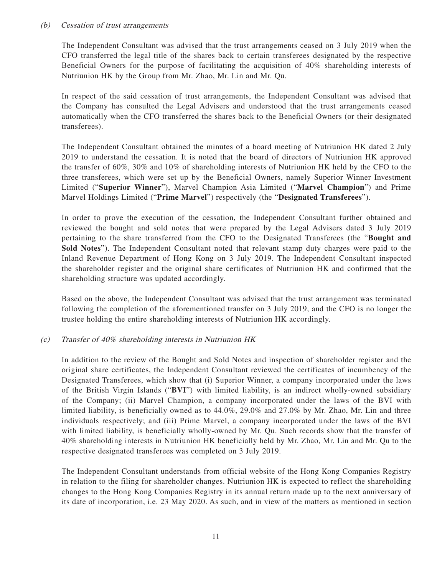#### (b) Cessation of trust arrangements

The Independent Consultant was advised that the trust arrangements ceased on 3 July 2019 when the CFO transferred the legal title of the shares back to certain transferees designated by the respective Beneficial Owners for the purpose of facilitating the acquisition of 40% shareholding interests of Nutriunion HK by the Group from Mr. Zhao, Mr. Lin and Mr. Qu.

In respect of the said cessation of trust arrangements, the Independent Consultant was advised that the Company has consulted the Legal Advisers and understood that the trust arrangements ceased automatically when the CFO transferred the shares back to the Beneficial Owners (or their designated transferees).

The Independent Consultant obtained the minutes of a board meeting of Nutriunion HK dated 2 July 2019 to understand the cessation. It is noted that the board of directors of Nutriunion HK approved the transfer of 60%, 30% and 10% of shareholding interests of Nutriunion HK held by the CFO to the three transferees, which were set up by the Beneficial Owners, namely Superior Winner Investment Limited ("**Superior Winner**"), Marvel Champion Asia Limited ("**Marvel Champion**") and Prime Marvel Holdings Limited ("**Prime Marvel**") respectively (the "**Designated Transferees**").

In order to prove the execution of the cessation, the Independent Consultant further obtained and reviewed the bought and sold notes that were prepared by the Legal Advisers dated 3 July 2019 pertaining to the share transferred from the CFO to the Designated Transferees (the "**Bought and Sold Notes**"). The Independent Consultant noted that relevant stamp duty charges were paid to the Inland Revenue Department of Hong Kong on 3 July 2019. The Independent Consultant inspected the shareholder register and the original share certificates of Nutriunion HK and confirmed that the shareholding structure was updated accordingly.

Based on the above, the Independent Consultant was advised that the trust arrangement was terminated following the completion of the aforementioned transfer on 3 July 2019, and the CFO is no longer the trustee holding the entire shareholding interests of Nutriunion HK accordingly.

#### (c) Transfer of 40% shareholding interests in Nutriunion HK

In addition to the review of the Bought and Sold Notes and inspection of shareholder register and the original share certificates, the Independent Consultant reviewed the certificates of incumbency of the Designated Transferees, which show that (i) Superior Winner, a company incorporated under the laws of the British Virgin Islands ("**BVI**") with limited liability, is an indirect wholly-owned subsidiary of the Company; (ii) Marvel Champion, a company incorporated under the laws of the BVI with limited liability, is beneficially owned as to 44.0%, 29.0% and 27.0% by Mr. Zhao, Mr. Lin and three individuals respectively; and (iii) Prime Marvel, a company incorporated under the laws of the BVI with limited liability, is beneficially wholly-owned by Mr. Qu. Such records show that the transfer of 40% shareholding interests in Nutriunion HK beneficially held by Mr. Zhao, Mr. Lin and Mr. Qu to the respective designated transferees was completed on 3 July 2019.

The Independent Consultant understands from official website of the Hong Kong Companies Registry in relation to the filing for shareholder changes. Nutriunion HK is expected to reflect the shareholding changes to the Hong Kong Companies Registry in its annual return made up to the next anniversary of its date of incorporation, i.e. 23 May 2020. As such, and in view of the matters as mentioned in section